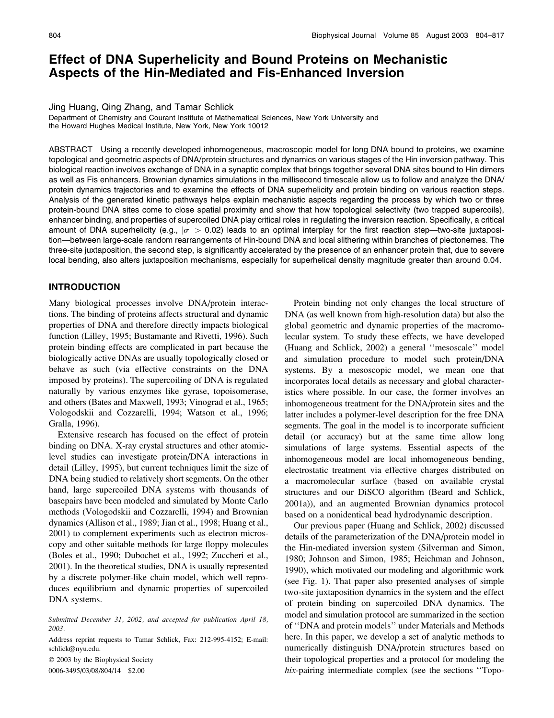# Effect of DNA Superhelicity and Bound Proteins on Mechanistic Aspects of the Hin-Mediated and Fis-Enhanced Inversion

Jing Huang, Qing Zhang, and Tamar Schlick

Department of Chemistry and Courant Institute of Mathematical Sciences, New York University and the Howard Hughes Medical Institute, New York, New York 10012

ABSTRACT Using a recently developed inhomogeneous, macroscopic model for long DNA bound to proteins, we examine topological and geometric aspects of DNA/protein structures and dynamics on various stages of the Hin inversion pathway. This biological reaction involves exchange of DNA in a synaptic complex that brings together several DNA sites bound to Hin dimers as well as Fis enhancers. Brownian dynamics simulations in the millisecond timescale allow us to follow and analyze the DNA/ protein dynamics trajectories and to examine the effects of DNA superhelicity and protein binding on various reaction steps. Analysis of the generated kinetic pathways helps explain mechanistic aspects regarding the process by which two or three protein-bound DNA sites come to close spatial proximity and show that how topological selectivity (two trapped supercoils), enhancer binding, and properties of supercoiled DNA play critical roles in regulating the inversion reaction. Specifically, a critical amount of DNA superhelicity (e.g.,  $|\sigma| > 0.02$ ) leads to an optimal interplay for the first reaction step—two-site juxtaposition—between large-scale random rearrangements of Hin-bound DNA and local slithering within branches of plectonemes. The three-site juxtaposition, the second step, is significantly accelerated by the presence of an enhancer protein that, due to severe local bending, also alters juxtaposition mechanisms, especially for superhelical density magnitude greater than around 0.04.

# INTRODUCTION

Many biological processes involve DNA/protein interactions. The binding of proteins affects structural and dynamic properties of DNA and therefore directly impacts biological function (Lilley, 1995; Bustamante and Rivetti, 1996). Such protein binding effects are complicated in part because the biologically active DNAs are usually topologically closed or behave as such (via effective constraints on the DNA imposed by proteins). The supercoiling of DNA is regulated naturally by various enzymes like gyrase, topoisomerase, and others (Bates and Maxwell, 1993; Vinograd et al., 1965; Vologodskii and Cozzarelli, 1994; Watson et al., 1996; Gralla, 1996).

Extensive research has focused on the effect of protein binding on DNA. X-ray crystal structures and other atomiclevel studies can investigate protein/DNA interactions in detail (Lilley, 1995), but current techniques limit the size of DNA being studied to relatively short segments. On the other hand, large supercoiled DNA systems with thousands of basepairs have been modeled and simulated by Monte Carlo methods (Vologodskii and Cozzarelli, 1994) and Brownian dynamics (Allison et al., 1989; Jian et al., 1998; Huang et al., 2001) to complement experiments such as electron microscopy and other suitable methods for large floppy molecules (Boles et al., 1990; Dubochet et al., 1992; Zuccheri et al., 2001). In the theoretical studies, DNA is usually represented by a discrete polymer-like chain model, which well reproduces equilibrium and dynamic properties of supercoiled DNA systems.

 2003 by the Biophysical Society 0006-3495/03/08/804/14 \$2.00

Protein binding not only changes the local structure of DNA (as well known from high-resolution data) but also the global geometric and dynamic properties of the macromolecular system. To study these effects, we have developed (Huang and Schlick, 2002) a general ''mesoscale'' model and simulation procedure to model such protein/DNA systems. By a mesoscopic model, we mean one that incorporates local details as necessary and global characteristics where possible. In our case, the former involves an inhomogeneous treatment for the DNA/protein sites and the latter includes a polymer-level description for the free DNA segments. The goal in the model is to incorporate sufficient detail (or accuracy) but at the same time allow long simulations of large systems. Essential aspects of the inhomogeneous model are local inhomogeneous bending, electrostatic treatment via effective charges distributed on a macromolecular surface (based on available crystal structures and our DiSCO algorithm (Beard and Schlick, 2001a)), and an augmented Brownian dynamics protocol based on a nonidentical bead hydrodynamic description.

Our previous paper (Huang and Schlick, 2002) discussed details of the parameterization of the DNA/protein model in the Hin-mediated inversion system (Silverman and Simon, 1980; Johnson and Simon, 1985; Heichman and Johnson, 1990), which motivated our modeling and algorithmic work (see Fig. 1). That paper also presented analyses of simple two-site juxtaposition dynamics in the system and the effect of protein binding on supercoiled DNA dynamics. The model and simulation protocol are summarized in the section of ''DNA and protein models'' under Materials and Methods here. In this paper, we develop a set of analytic methods to numerically distinguish DNA/protein structures based on their topological properties and a protocol for modeling the hix-pairing intermediate complex (see the sections "Topo-

Submitted December 31, 2002, and accepted for publication April 18, 2003.

Address reprint requests to Tamar Schlick, Fax: 212-995-4152; E-mail: schlick@nyu.edu.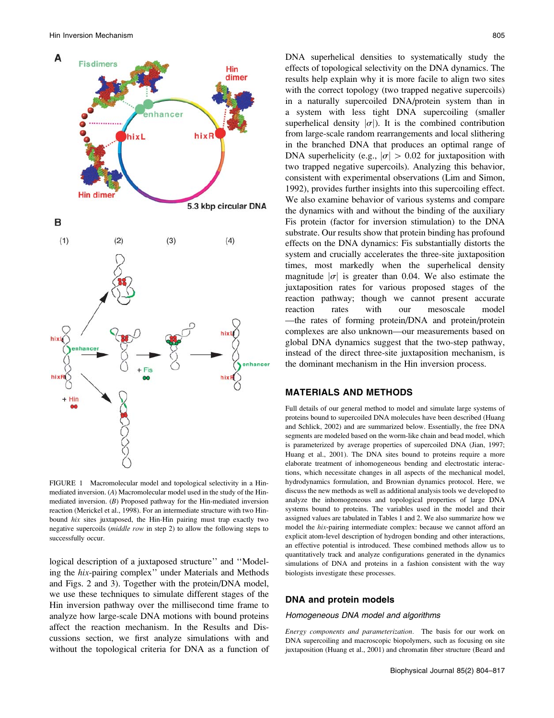

FIGURE 1 Macromolecular model and topological selectivity in a Hinmediated inversion. (A) Macromolecular model used in the study of the Hinmediated inversion. (B) Proposed pathway for the Hin-mediated inversion reaction (Merickel et al., 1998). For an intermediate structure with two Hinbound hix sites juxtaposed, the Hin-Hin pairing must trap exactly two negative supercoils (middle row in step 2) to allow the following steps to successfully occur.

logical description of a juxtaposed structure'' and ''Modeling the hix-pairing complex" under Materials and Methods and Figs. 2 and 3). Together with the protein/DNA model, we use these techniques to simulate different stages of the Hin inversion pathway over the millisecond time frame to analyze how large-scale DNA motions with bound proteins affect the reaction mechanism. In the Results and Discussions section, we first analyze simulations with and without the topological criteria for DNA as a function of DNA superhelical densities to systematically study the effects of topological selectivity on the DNA dynamics. The results help explain why it is more facile to align two sites with the correct topology (two trapped negative supercoils) in a naturally supercoiled DNA/protein system than in a system with less tight DNA supercoiling (smaller superhelical density  $|\sigma|$ ). It is the combined contribution from large-scale random rearrangements and local slithering in the branched DNA that produces an optimal range of DNA superhelicity (e.g.,  $|\sigma| > 0.02$  for juxtaposition with two trapped negative supercoils). Analyzing this behavior, consistent with experimental observations (Lim and Simon, 1992), provides further insights into this supercoiling effect. We also examine behavior of various systems and compare the dynamics with and without the binding of the auxiliary Fis protein (factor for inversion stimulation) to the DNA substrate. Our results show that protein binding has profound effects on the DNA dynamics: Fis substantially distorts the system and crucially accelerates the three-site juxtaposition times, most markedly when the superhelical density magnitude  $|\sigma|$  is greater than 0.04. We also estimate the juxtaposition rates for various proposed stages of the reaction pathway; though we cannot present accurate reaction rates with our mesoscale model —the rates of forming protein/DNA and protein/protein complexes are also unknown—our measurements based on global DNA dynamics suggest that the two-step pathway, instead of the direct three-site juxtaposition mechanism, is the dominant mechanism in the Hin inversion process.

# MATERIALS AND METHODS

Full details of our general method to model and simulate large systems of proteins bound to supercoiled DNA molecules have been described (Huang and Schlick, 2002) and are summarized below. Essentially, the free DNA segments are modeled based on the worm-like chain and bead model, which is parameterized by average properties of supercoiled DNA (Jian, 1997; Huang et al., 2001). The DNA sites bound to proteins require a more elaborate treatment of inhomogeneous bending and electrostatic interactions, which necessitate changes in all aspects of the mechanical model, hydrodynamics formulation, and Brownian dynamics protocol. Here, we discuss the new methods as well as additional analysis tools we developed to analyze the inhomogeneous and topological properties of large DNA systems bound to proteins. The variables used in the model and their assigned values are tabulated in Tables 1 and 2. We also summarize how we model the hix-pairing intermediate complex: because we cannot afford an explicit atom-level description of hydrogen bonding and other interactions, an effective potential is introduced. These combined methods allow us to quantitatively track and analyze configurations generated in the dynamics simulations of DNA and proteins in a fashion consistent with the way biologists investigate these processes.

## DNA and protein models

#### Homogeneous DNA model and algorithms

Energy components and parameterization. The basis for our work on DNA supercoiling and macroscopic biopolymers, such as focusing on site juxtaposition (Huang et al., 2001) and chromatin fiber structure (Beard and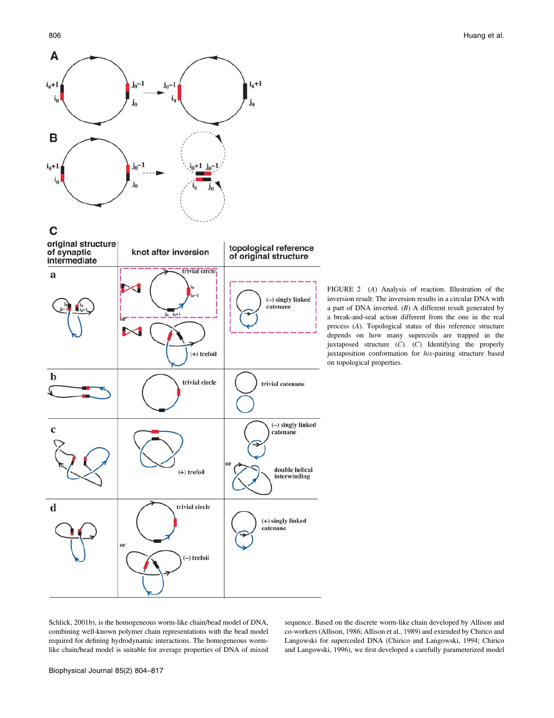

 $\mathbf c$ 



FIGURE 2 (A) Analysis of reaction. Illustration of the inversion result: The inversion results in a circular DNA with a part of DNA inverted.  $(B)$  A different result generated by a break-and-seal action different from the one in the real process (A). Topological status of this reference structure depends on how many supercoils are trapped in the juxtaposed structure (C). (C) Identifying the properly juxtaposition conformation for hix-pairing structure based on topological properties.

Schlick, 2001b), is the homogeneous worm-like chain/bead model of DNA, combining well-known polymer chain representations with the bead model required for defining hydrodynamic interactions. The homogeneous wormlike chain/bead model is suitable for average properties of DNA of mixed sequence. Based on the discrete worm-like chain developed by Allison and co-workers (Allison, 1986; Allison et al., 1989) and extended by Chirico and Langowski for supercoiled DNA (Chirico and Langowski, 1994; Chirico and Langowski, 1996), we first developed a carefully parameterized model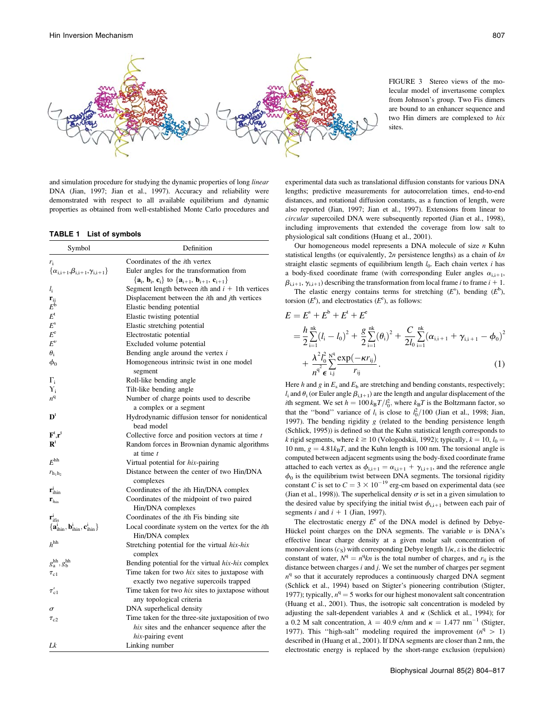

and simulation procedure for studying the dynamic properties of long *linear* DNA (Jian, 1997; Jian et al., 1997). Accuracy and reliability were demonstrated with respect to all available equilibrium and dynamic properties as obtained from well-established Monte Carlo procedures and

TABLE 1 List of symbols

| Symbol                                                                                              | Definition                                                                   |  |  |  |
|-----------------------------------------------------------------------------------------------------|------------------------------------------------------------------------------|--|--|--|
| $r_{\rm i}$                                                                                         | Coordinates of the <i>i</i> th vertex                                        |  |  |  |
| $\{\alpha_{i,i+1},\beta_{i,i+1},\gamma_{i,i+1}\}\$                                                  | Euler angles for the transformation from                                     |  |  |  |
|                                                                                                     | $\{a_i, b_i, c_i\}$ to $\{a_{i+1}, b_{i+1}, c_{i+1}\}$                       |  |  |  |
| $l_{\rm i}$                                                                                         | Segment length between <i>i</i> th and $i + 1$ th vertices                   |  |  |  |
| $\frac{\mathbf{r}_{ij}}{E}$                                                                         | Displacement between the <i>i</i> th and <i>j</i> th vertices                |  |  |  |
|                                                                                                     | Elastic bending potential                                                    |  |  |  |
| $E^{\rm t}$                                                                                         | Elastic twisting potential                                                   |  |  |  |
| $E^{\rm s}$                                                                                         | Elastic stretching potential                                                 |  |  |  |
| $E^e$                                                                                               | Electrostatic potential                                                      |  |  |  |
| $E^v$                                                                                               | Excluded volume potential                                                    |  |  |  |
| $\theta_i$                                                                                          | Bending angle around the vertex $i$                                          |  |  |  |
| $\phi_0$                                                                                            | Homogeneous intrinsic twist in one model                                     |  |  |  |
|                                                                                                     | segment                                                                      |  |  |  |
| $\Gamma_{\rm i}$                                                                                    | Roll-like bending angle                                                      |  |  |  |
| $Y_i$                                                                                               | Tilt-like bending angle                                                      |  |  |  |
| $n^{q}$                                                                                             | Number of charge points used to describe                                     |  |  |  |
|                                                                                                     | a complex or a segment                                                       |  |  |  |
| $\mathbf{D}^{\text{t}}$                                                                             | Hydrodynamic diffusion tensor for nonidentical                               |  |  |  |
|                                                                                                     | bead model                                                                   |  |  |  |
| ${\bf F}^t.{\bf r}^t$                                                                               | Collective force and position vectors at time $t$                            |  |  |  |
| $R^t$                                                                                               | Random forces in Brownian dynamic algorithms                                 |  |  |  |
|                                                                                                     | at time t                                                                    |  |  |  |
| $E^{\rm hh}$                                                                                        | Virtual potential for hix-pairing                                            |  |  |  |
| $r_{\rm h_1h_2}$                                                                                    | Distance between the center of two Hin/DNA<br>complexes                      |  |  |  |
| $\mathbf{r}_{\text{ihin}}^{\text{i}}$                                                               | Coordinates of the <i>i</i> th Hin/DNA complex                               |  |  |  |
| $\mathbf{r}_{\text{i}_{\text{hin}}}$                                                                | Coordinates of the midpoint of two paired<br>Hin/DNA complexes               |  |  |  |
| $\mathbf{r}_{\text{ifis}}^i$                                                                        | Coordinates of the <i>ith</i> Fis binding site                               |  |  |  |
| $\{\overline{\mathbf{a}}_{\text{ihin}}^i, \mathbf{b}_{\text{ihin}}^i, \mathbf{c}_{\text{ihin}}^i\}$ | Local coordinate system on the vertex for the <i>i</i> th<br>Hin/DNA complex |  |  |  |
| $h^{\text{hh}}$                                                                                     | Stretching potential for the virtual hix-hix<br>complex                      |  |  |  |
| $g_{\rm a}^{\rm hh}, g_{\rm b}^{\rm hh}$                                                            | Bending potential for the virtual hix-hix complex                            |  |  |  |
| $\tau_{\rm c1}$                                                                                     | Time taken for two hix sites to juxtapose with                               |  |  |  |
|                                                                                                     | exactly two negative supercoils trapped                                      |  |  |  |
| $\tau_{c1}'$                                                                                        | Time taken for two hix sites to juxtapose without                            |  |  |  |
|                                                                                                     | any topological criteria                                                     |  |  |  |
| $\sigma$                                                                                            | DNA superhelical density                                                     |  |  |  |
| $\tau_{c2}$                                                                                         | Time taken for the three-site juxtaposition of two                           |  |  |  |
|                                                                                                     | hix sites and the enhancer sequence after the                                |  |  |  |
|                                                                                                     | hix-pairing event                                                            |  |  |  |
| Lk                                                                                                  | Linking number                                                               |  |  |  |

FIGURE 3 Stereo views of the molecular model of invertasome complex from Johnson's group. Two Fis dimers are bound to an enhancer sequence and two Hin dimers are complexed to hix sites.

experimental data such as translational diffusion constants for various DNA lengths; predictive measurements for autocorrelation times, end-to-end distances, and rotational diffusion constants, as a function of length, were also reported (Jian, 1997; Jian et al., 1997). Extensions from linear to circular supercoiled DNA were subsequently reported (Jian et al., 1998), including improvements that extended the coverage from low salt to physiological salt conditions (Huang et al., 2001).

Our homogeneous model represents a DNA molecule of size  $n$  Kuhn statistical lengths (or equivalently,  $2n$  persistence lengths) as a chain of  $kn$ straight elastic segments of equilibrium length  $l_0$ . Each chain vertex i has a body-fixed coordinate frame (with corresponding Euler angles  $\alpha_{i,i+1}$ ,  $\beta_{i,i+1}$ ,  $\gamma_{i,i+1}$ ) describing the transformation from local frame i to frame  $i + 1$ .

The elastic energy contains terms for stretching  $(E^s)$ , bending  $(E^b)$ , torsion  $(E^t)$ , and electrostatics  $(E^e)$ , as follows:

$$
E = E^s + E^b + E^t + E^e
$$
  
=  $\frac{h}{2} \sum_{i=1}^{nk} (l_i - l_0)^2 + \frac{g}{2} \sum_{i=1}^{nk} (\theta_i)^2 + \frac{C}{2l_0} \sum_{i=1}^{nk} (\alpha_{i,i+1} + \gamma_{i,i+1} - \phi_0)^2$   
+  $\frac{\lambda^2 l_0^2}{n^q \epsilon} \sum_{i,j}^{N^q} \frac{\exp(-\kappa r_{ij})}{r_{ij}}$ . (1)

Here h and g in  $E_s$  and  $E_b$  are stretching and bending constants, respectively;  $l_i$  and  $\theta_i$  (or Euler angle  $\beta_{i,I+1}$ ) are the length and angular displacement of the *i*th segment. We set  $h = 100 \frac{k_B T}{l_0^2}$ , where  $k_B T$  is the Boltzmann factor, so that the "bond" variance of  $l_i$  is close to  $l_0^2/100$  (Jian et al., 1998; Jian, 1997). The bending rigidity  $g$  (related to the bending persistence length (Schlick, 1995)) is defined so that the Kuhn statistical length corresponds to k rigid segments, where  $k \ge 10$  (Vologodskii, 1992); typically,  $k = 10$ ,  $l_0 =$ 10 nm,  $g = 4.81k_BT$ , and the Kuhn length is 100 nm. The torsional angle is computed between adjacent segments using the body-fixed coordinate frame attached to each vertex as  $\phi_{i,i+1} = \alpha_{i,i+1} + \gamma_{i,i+1}$ , and the reference angle  $\phi_0$  is the equilibrium twist between DNA segments. The torsional rigidity constant C is set to  $C = 3 \times 10^{-19}$  erg-cm based on experimental data (see (Jian et al., 1998)). The superhelical density  $\sigma$  is set in a given simulation to the desired value by specifying the initial twist  $\phi_{i,i+1}$  between each pair of segments i and  $i + 1$  (Jian, 1997).

The electrostatic energy  $E^e$  of the DNA model is defined by Debye-Hückel point charges on the DNA segments. The variable  $v$  is DNA's effective linear charge density at a given molar salt concentration of monovalent ions  $(c_S)$  with corresponding Debye length  $1/\kappa$ ,  $\varepsilon$  is the dielectric constant of water,  $N^q = n^q k n$  is the total number of charges, and  $r_{ij}$  is the distance between charges  $i$  and  $j$ . We set the number of charges per segment  $n<sup>q</sup>$  so that it accurately reproduces a continuously charged DNA segment (Schlick et al., 1994) based on Stigter's pioneering contribution (Stigter, 1977); typically,  $n<sup>q</sup> = 5$  works for our highest monovalent salt concentration (Huang et al., 2001). Thus, the isotropic salt concentration is modeled by adjusting the salt-dependent variables  $\lambda$  and  $\kappa$  (Schlick et al., 1994); for a 0.2 M salt concentration,  $\lambda = 40.9$  e/nm and  $\kappa = 1.477$  nm<sup>-1</sup> (Stigter, 1977). This "high-salt" modeling required the improvement  $(n^{q} > 1)$ described in (Huang et al., 2001). If DNA segments are closer than 2 nm, the electrostatic energy is replaced by the short-range exclusion (repulsion)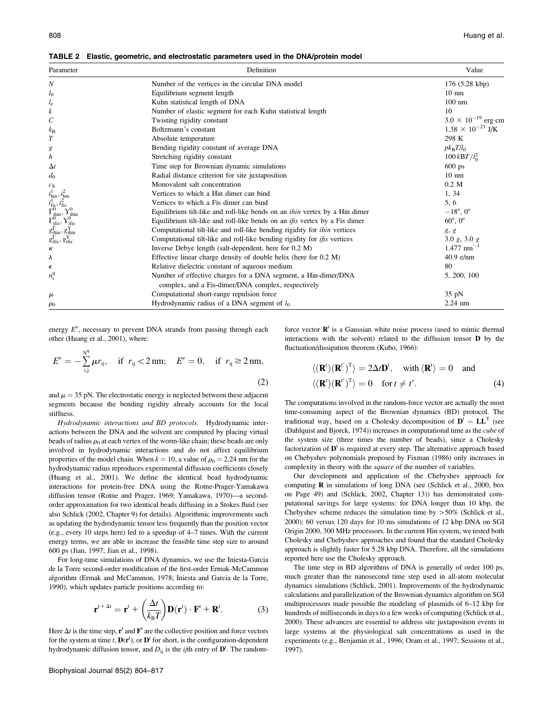|  |  | TABLE 2 Elastic, geometric, and electrostatic parameters used in the DNA/protein model |  |  |  |  |
|--|--|----------------------------------------------------------------------------------------|--|--|--|--|
|--|--|----------------------------------------------------------------------------------------|--|--|--|--|

| Parameter                                                                                                                                                                                                                                                                                                   | Definition                                                                        | Value                        |
|-------------------------------------------------------------------------------------------------------------------------------------------------------------------------------------------------------------------------------------------------------------------------------------------------------------|-----------------------------------------------------------------------------------|------------------------------|
| Ν                                                                                                                                                                                                                                                                                                           | Number of the vertices in the circular DNA model                                  | 176 (5.28 kbp)               |
| $l_0$                                                                                                                                                                                                                                                                                                       | Equilibrium segment length                                                        | $10 \text{ nm}$              |
| $l_{\rm e}$                                                                                                                                                                                                                                                                                                 | Kuhn statistical length of DNA                                                    | $100 \text{ nm}$             |
| k                                                                                                                                                                                                                                                                                                           | Number of elastic segment for each Kuhn statistical length                        | 10                           |
| $\mathcal C$                                                                                                                                                                                                                                                                                                | Twisting rigidity constant                                                        | $3.0 \times 10^{-19}$ erg·cm |
| $k_{\rm B}$                                                                                                                                                                                                                                                                                                 | Boltzmann's constant                                                              | $1.38 \times 10^{-23}$ J/K   |
| T                                                                                                                                                                                                                                                                                                           | Absolute temperature                                                              | 298 K                        |
| g                                                                                                                                                                                                                                                                                                           | Bending rigidity constant of average DNA                                          | $pk_BT/l_0$                  |
| h                                                                                                                                                                                                                                                                                                           | Stretching rigidity constant                                                      | $100kBT/l_0^2$               |
| $\Delta t$                                                                                                                                                                                                                                                                                                  | Time step for Brownian dynamic simulations                                        | $600$ ps                     |
| $d_0$                                                                                                                                                                                                                                                                                                       | Radial distance criterion for site juxtaposition                                  | $10 \text{ nm}$              |
| $c_{\rm S}$                                                                                                                                                                                                                                                                                                 | Monovalent salt concentration                                                     | 0.2 M                        |
| $i^1_{\rm hin}, i^2_{\rm hin} \nonumber \ i^1_{\rm fs}, i^2_{\rm fis} \nonumber \ \Gamma_{\rm lin}^{0} , \Upsilon_{\rm thin}^{0} \nonumber \ \Gamma_{\rm ifis}^{0} , \Upsilon_{\rm ifis}^{0} \nonumber \ s^{\Gamma}_{\rm lin}, s^{\rm Y}_{\rm lim} \nonumber \ s^{\Gamma}_{\rm ifis}, s^{\rm Y}_{\rm ifis}$ | Vertices to which a Hin dimer can bind                                            | 1, 34                        |
|                                                                                                                                                                                                                                                                                                             | Vertices to which a Fis dimer can bind                                            | 5, 6                         |
|                                                                                                                                                                                                                                                                                                             | Equilibrium tilt-like and roll-like bends on an <i>ihin</i> vertex by a Hin dimer | $-18^{\circ}$ , 0°           |
|                                                                                                                                                                                                                                                                                                             | Equilibrium tilt-like and roll-like bends on an <i>ifts</i> vertex by a Fis dimer | $60^\circ, 0^\circ$          |
|                                                                                                                                                                                                                                                                                                             | Computational tilt-like and roll-like bending rigidity for <i>ihin</i> vertices   | g, g                         |
|                                                                                                                                                                                                                                                                                                             | Computational tilt-like and roll-like bending rigidity for <i>ifis</i> vertices   | 3.0 g, 3.0 g                 |
| κ                                                                                                                                                                                                                                                                                                           | Inverse Debye length (salt-dependent, here for 0.2 M)                             | $1.477$ nm <sup>-1</sup>     |
| λ                                                                                                                                                                                                                                                                                                           | Effective linear charge density of double helix (here for $0.2 \text{ M}$ )       | $40.9$ e/nm                  |
| $\epsilon$                                                                                                                                                                                                                                                                                                  | Relative dielectric constant of aqueous medium                                    | 80                           |
| $n_i^q$                                                                                                                                                                                                                                                                                                     | Number of effective charges for a DNA segment, a Hin-dimer/DNA                    | 5, 200, 100                  |
|                                                                                                                                                                                                                                                                                                             | complex, and a Fis-dimer/DNA complex, respectively                                |                              |
| $\mu$                                                                                                                                                                                                                                                                                                       | Computational short-range repulsion force                                         | 35 pN                        |
| $\rho_0$                                                                                                                                                                                                                                                                                                    | Hydrodynamic radius of a DNA segment of $l_0$                                     | $2.24$ nm                    |

energy  $E^{\nu}$ , necessary to prevent DNA strands from passing through each other (Huang et al., 2001), where:

$$
E^{\nu} = -\sum_{i,j}^{N^q} \mu r_{ij}, \quad \text{if } r_{ij} < 2 \text{ nm}; \quad E^{\nu} = 0, \quad \text{if } r_{ij} \ge 2 \text{ nm}, \tag{2}
$$

and  $\mu = 35$  pN. The electrostatic energy is neglected between these adjacent segments because the bending rigidity already accounts for the local stiffness.

Hydrodynamic interactions and BD protocols. Hydrodynamic interactions between the DNA and the solvent are computed by placing virtual beads of radius  $\rho_0$  at each vertex of the worm-like chain; these beads are only involved in hydrodynamic interactions and do not affect equilibrium properties of the model chain. When  $k = 10$ , a value of  $\rho_0 = 2.24$  nm for the hydrodynamic radius reproduces experimental diffusion coefficients closely (Huang et al., 2001). We define the identical bead hydrodynamic interactions for protein-free DNA using the Rotne-Prager-Yamakawa diffusion tensor (Rotne and Prager, 1969; Yamakawa, 1970)—a secondorder approximation for two identical beads diffusing in a Stokes fluid (see also Schlick (2002, Chapter 9) for details). Algorithmic improvements such as updating the hydrodynamic tensor less frequently than the position vector (e.g., every 10 steps here) led to a speedup of 4–7 times. With the current energy terms, we are able to increase the feasible time step size to around 600 ps (Jian, 1997; Jian et al., 1998).

For long-time simulations of DNA dynamics, we use the Iniesta-Garcia de la Torre second-order modification of the first-order Ermak-McCammon algorithm (Ermak and McCammon, 1978; Iniesta and Garcia de la Torre, 1990), which updates particle positions according to:

$$
\mathbf{r}^{t+\Delta t} = \mathbf{r}^{t} + \left(\frac{\Delta t}{k_{\mathrm{B}}T}\right) \mathbf{D}(\mathbf{r}^{t}) \cdot \mathbf{F}^{t} + \mathbf{R}^{t}.
$$
 (3)

Here  $\Delta t$  is the time step,  $\mathbf{r}^t$  and  $\mathbf{F}^t$  are the collective position and force vectors for the system at time  $t$ ,  $\mathbf{D}(\mathbf{r}^t)$ , or  $\mathbf{D}^t$  for short, is the configuration-dependent hydrodynamic diffusion tensor, and  $D_{ij}$  is the *ij*th entry of  $D^t$ . The randomforce vector  $\mathbf{R}^t$  is a Gaussian white noise process (used to mimic thermal interactions with the solvent) related to the diffusion tensor D by the fluctuation/dissipation theorem (Kubo, 1966):

$$
\langle (\mathbf{R}^t)(\mathbf{R}^{t'})^T \rangle = 2\Delta t \mathbf{D}^t, \text{ with } \langle \mathbf{R}^t \rangle = 0 \text{ and}
$$
  

$$
\langle (\mathbf{R}^t)(\mathbf{R}^{t'})^T \rangle = 0 \text{ for } t \neq t'.
$$
 (4)

The computations involved in the random-force vector are actually the most time-consuming aspect of the Brownian dynamics (BD) protocol. The traditional way, based on a Cholesky decomposition of  $D^t = LL^T$  (see (Dahlquist and Bjorck, 1974)) increases in computational time as the cube of the system size (three times the number of beads), since a Cholesky factorization of  $\mathbf{D}^{t}$  is required at every step. The alternative approach based on Chebyshev polynomials proposed by Fixman (1986) only increases in complexity in theory with the *square* of the number of variables.

Our development and application of the Chebyshev approach for computing R in simulations of long DNA (see (Schlick et al., 2000, box on Page 49) and (Schlick, 2002, Chapter 13)) has demonstrated computational savings for large systems: for DNA longer than 10 kbp, the Chebyshev scheme reduces the simulation time by  $>50\%$  (Schlick et al., 2000): 60 versus 120 days for 10 ms simulations of 12 kbp DNA on SGI Origin 2000, 300 MHz processors. In the current Hin system, we tested both Cholesky and Chebyshev approaches and found that the standard Cholesky approach is slightly faster for 5.28 kbp DNA. Therefore, all the simulations reported here use the Cholesky approach.

The time step in BD algorithms of DNA is generally of order 100 ps, much greater than the nanosecond time step used in all-atom molecular dynamics simulations (Schlick, 2001). Improvements of the hydrodynamic calculations and parallelization of the Brownian dynamics algorithm on SGI multiprocessors made possible the modeling of plasmids of 6–12 kbp for hundreds of milliseconds in days to a few weeks of computing (Schlick et al., 2000). These advances are essential to address site juxtaposition events in large systems at the physiological salt concentrations as used in the experiments (e.g., Benjamin et al., 1996; Oram et al., 1997; Sessions et al., 1997).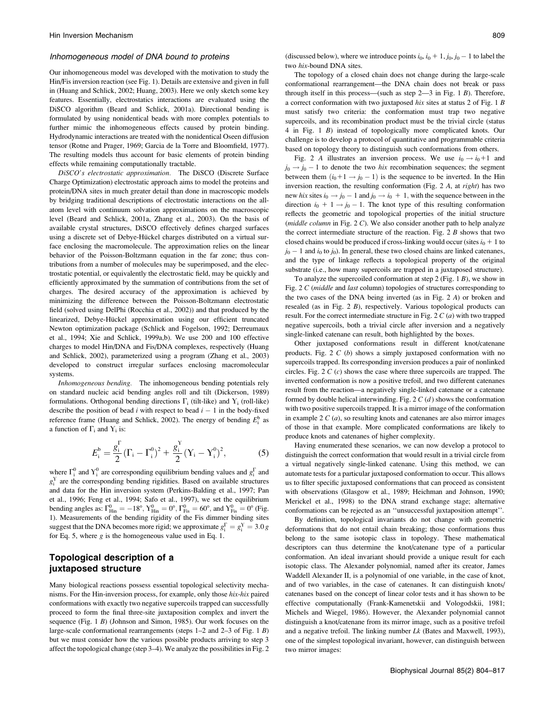#### Inhomogeneous model of DNA bound to proteins

Our inhomogeneous model was developed with the motivation to study the Hin/Fis inversion reaction (see Fig. 1). Details are extensive and given in full in (Huang and Schlick, 2002; Huang, 2003). Here we only sketch some key features. Essentially, electrostatics interactions are evaluated using the DiSCO algorithm (Beard and Schlick, 2001a). Directional bending is formulated by using nonidentical beads with more complex potentials to further mimic the inhomogeneous effects caused by protein binding. Hydrodynamic interactions are treated with the nonidentical Oseen diffusion tensor (Rotne and Prager, 1969; Garcia de la Torre and Bloomfield, 1977). The resulting models thus account for basic elements of protein binding effects while remaining computationally tractable.

DiSCO's electrostatic approximation. The DiSCO (Discrete Surface Charge Optimization) electrostatic approach aims to model the proteins and protein/DNA sites in much greater detail than done in macroscopic models by bridging traditional descriptions of electrostatic interactions on the allatom level with continuum solvation approximations on the macroscopic level (Beard and Schlick, 2001a, Zhang et al., 2003). On the basis of available crystal structures, DiSCO effectively defines charged surfaces using a discrete set of Debye-Hückel charges distributed on a virtual surface enclosing the macromolecule. The approximation relies on the linear behavior of the Poisson-Boltzmann equation in the far zone; thus contributions from a number of molecules may be superimposed, and the electrostatic potential, or equivalently the electrostatic field, may be quickly and efficiently approximated by the summation of contributions from the set of charges. The desired accuracy of the approximation is achieved by minimizing the difference between the Poisson-Boltzmann electrostatic field (solved using DelPhi (Rocchia et al., 2002)) and that produced by the linearized, Debye-Hückel approximation using our efficient truncated Newton optimization package (Schlick and Fogelson, 1992; Derreumaux et al., 1994; Xie and Schlick, 1999a,b). We use 200 and 100 effective charges to model Hin/DNA and Fis/DNA complexes, respectively (Huang and Schlick, 2002), parameterized using a program (Zhang et al., 2003) developed to construct irregular surfaces enclosing macromolecular systems.

Inhomogeneous bending. The inhomogeneous bending potentials rely on standard nucleic acid bending angles roll and tilt (Dickerson, 1989) formulations. Orthogonal bending directions  $\Gamma_i$  (tilt-like) and  $\Upsilon_i$  (roll-like) describe the position of bead i with respect to bead  $i - 1$  in the body-fixed reference frame (Huang and Schlick, 2002). The energy of bending  $E_i^b$  as a function of  $\Gamma_i$  and  $\Upsilon_j$  is:

$$
E_i^b = \frac{g_i^{\Gamma}}{2} (\Gamma_i - \Gamma_i^0)^2 + \frac{g_i^{\Upsilon}}{2} (\Upsilon_i - \Upsilon_i^0)^2, \tag{5}
$$

where  $\Gamma_i^0$  and  $\Upsilon_i^0$  are corresponding equilibrium bending values and  $g_i^{\Gamma}$  and  $g_i^{\Upsilon}$  are the corresponding bending rigidities. Based on available structures and data for the Hin inversion system (Perkins-Balding et al., 1997; Pan et al., 1996; Feng et al., 1994; Safo et al., 1997), we set the equilibrium bending angles as:  $\Gamma_{\text{Hin}}^0 = -18^\circ$ ,  $\Upsilon_{\text{Hin}}^0 = 0^\circ$ ,  $\Gamma_{\text{Fis}}^0 = 60^\circ$ , and  $\Upsilon_{\text{Fis}}^0 = 0^\circ$  (Fig. 1). Measurements of the bending rigidity of the Fis dimmer binding sites suggest that the DNA becomes more rigid; we approximate  $g_i^{\Gamma} = g_i^{\Upsilon} = 3.0 g$ for Eq. 5, where  $g$  is the homogeneous value used in Eq. 1.

# Topological description of a juxtaposed structure

Many biological reactions possess essential topological selectivity mechanisms. For the Hin-inversion process, for example, only those hix-hix paired conformations with exactly two negative supercoils trapped can successfully proceed to form the final three-site juxtaposition complex and invert the sequence (Fig. 1 B) (Johnson and Simon, 1985). Our work focuses on the large-scale conformational rearrangements (steps 1–2 and 2–3 of Fig. 1 B) but we must consider how the various possible products arriving to step 3 affect the topological change (step 3–4). We analyze the possibilities in Fig. 2

(discussed below), where we introduce points  $i_0$ ,  $i_0 + 1$ ,  $j_0$ ,  $j_0 - 1$  to label the two hix-bound DNA sites.

The topology of a closed chain does not change during the large-scale conformational rearrangement—the DNA chain does not break or pass through itself in this process—(such as step  $2-3$  in Fig. 1 B). Therefore, a correct conformation with two juxtaposed hix sites at status 2 of Fig. 1 B must satisfy two criteria: the conformation must trap two negative supercoils, and its recombination product must be the trivial circle (status 4 in Fig. 1 B) instead of topologically more complicated knots. Our challenge is to develop a protocol of quantitative and programmable criteria based on topology theory to distinguish such conformations from others.

Fig. 2 A illustrates an inversion process. We use  $i_0 \rightarrow i_0+1$  and  $j_0 \rightarrow j_0 - 1$  to denote the two hix recombination sequences; the segment between them  $(i_0+1 \rightarrow j_0-1)$  is the sequence to be inverted. In the Hin inversion reaction, the resulting conformation (Fig. 2 A, at right) has two new hix sites  $i_0 \rightarrow j_0 - 1$  and  $j_0 \rightarrow i_0 + 1$ , with the sequence between in the direction  $i_0 + 1 \rightarrow j_0 - 1$ . The knot type of this resulting conformation reflects the geometric and topological properties of the initial structure (*middle column* in Fig.  $2 C$ ). We also consider another path to help analyze the correct intermediate structure of the reaction. Fig.  $2 B$  shows that two closed chains would be produced if cross-linking would occur (sites  $i_0 + 1$  to  $j_0$  – 1 and  $i_0$  to  $j_0$ ). In general, these two closed chains are linked catenanes, and the type of linkage reflects a topological property of the original substrate (i.e., how many supercoils are trapped in a juxtaposed structure).

To analyze the supercoiled conformation at step 2 (Fig. 1 B), we show in Fig. 2 C (middle and last column) topologies of structures corresponding to the two cases of the DNA being inverted (as in Fig. 2 A) or broken and resealed (as in Fig. 2 B), respectively. Various topological products can result. For the correct intermediate structure in Fig. 2  $C(a)$  with two trapped negative supercoils, both a trivial circle after inversion and a negatively single-linked catenane can result, both highlighted by the boxes.

Other juxtaposed conformations result in different knot/catenane products. Fig. 2  $C$  (b) shows a simply juxtaposed conformation with no supercoils trapped. Its corresponding inversion produces a pair of nonlinked circles. Fig. 2  $C(c)$  shows the case where three supercoils are trapped. The inverted conformation is now a positive trefoil, and two different catenanes result from the reaction—a negatively single-linked catenane or a catenane formed by double helical interwinding. Fig.  $2 C(d)$  shows the conformation with two positive supercoils trapped. It is a mirror image of the conformation in example  $2 C(a)$ , so resulting knots and catenanes are also mirror images of those in that example. More complicated conformations are likely to produce knots and catenanes of higher complexity.

Having enumerated these scenarios, we can now develop a protocol to distinguish the correct conformation that would result in a trivial circle from a virtual negatively single-linked catenane. Using this method, we can automate tests for a particular juxtaposed conformation to occur. This allows us to filter specific juxtaposed conformations that can proceed as consistent with observations (Glasgow et al., 1989; Heichman and Johnson, 1990; Merickel et al., 1998) to the DNA strand exchange stage; alternative conformations can be rejected as an ''unsuccessful juxtaposition attempt''.

By definition, topological invariants do not change with geometric deformations that do not entail chain breaking; those conformations thus belong to the same isotopic class in topology. These mathematical descriptors can thus determine the knot/catenane type of a particular conformation. An ideal invariant should provide a unique result for each isotopic class. The Alexander polynomial, named after its creator, James Waddell Alexander II, is a polynomial of one variable, in the case of knot, and of two variables, in the case of catenanes. It can distinguish knots/ catenanes based on the concept of linear color tests and it has shown to be effective computationally (Frank-Kamenetskii and Vologodskii, 1981; Michels and Wiegel, 1986). However, the Alexander polynomial cannot distinguish a knot/catenane from its mirror image, such as a positive trefoil and a negative trefoil. The linking number  $Lk$  (Bates and Maxwell, 1993), one of the simplest topological invariant, however, can distinguish between two mirror images: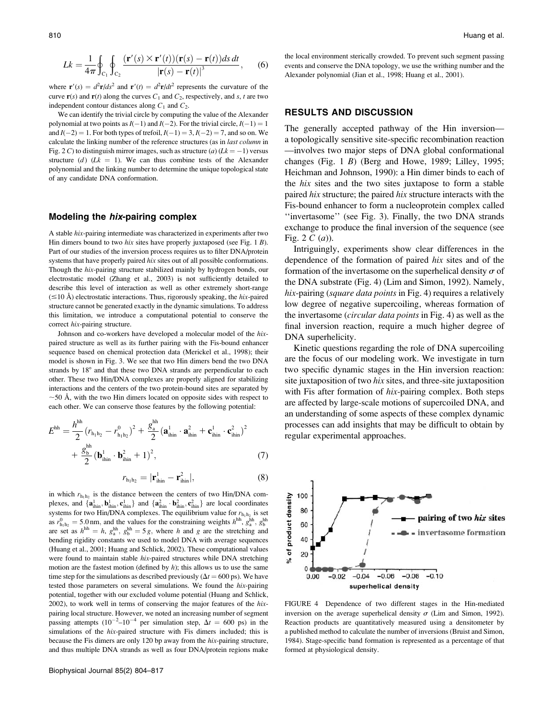$$
Lk = \frac{1}{4\pi} \oint_{C_1} \oint_{C_2} \frac{(\mathbf{r}'(s) \times \mathbf{r}'(t))(\mathbf{r}(s) - \mathbf{r}(t))ds dt}{|\mathbf{r}(s) - \mathbf{r}(t)|^3},
$$
 (6)

where  $\mathbf{r}'(s) = d^2\mathbf{r}/ds^2$  and  $\mathbf{r}'(t) = d^2\mathbf{r}/dt^2$  represents the curvature of the curve  $r(s)$  and  $r(t)$  along the curves  $C_1$  and  $C_2$ , respectively, and s, t are two independent contour distances along  $C_1$  and  $C_2$ .

We can identify the trivial circle by computing the value of the Alexander polynomial at two points as  $I(-1)$  and  $I(-2)$ . For the trivial circle,  $I(-1) = 1$ and  $I(-2) = 1$ . For both types of trefoil,  $I(-1) = 3$ ,  $I(-2) = 7$ , and so on. We calculate the linking number of the reference structures (as in last column in Fig. 2 C) to distinguish mirror images, such as structure (a)  $(Lk = -1)$  versus structure (d)  $(Lk = 1)$ . We can thus combine tests of the Alexander polynomial and the linking number to determine the unique topological state of any candidate DNA conformation.

## Modeling the hix-pairing complex

A stable hix-pairing intermediate was characterized in experiments after two Hin dimers bound to two  $hix$  sites have properly juxtaposed (see Fig. 1  $B$ ). Part of our studies of the inversion process requires us to filter DNA/protein systems that have properly paired hix sites out of all possible conformations. Though the hix-pairing structure stabilized mainly by hydrogen bonds, our electrostatic model (Zhang et al., 2003) is not sufficiently detailed to describe this level of interaction as well as other extremely short-range  $(\leq 10 \text{ Å})$  electrostatic interactions. Thus, rigorously speaking, the hix-paired structure cannot be generated exactly in the dynamic simulations. To address this limitation, we introduce a computational potential to conserve the correct hix-pairing structure.

Johnson and co-workers have developed a molecular model of the hixpaired structure as well as its further pairing with the Fis-bound enhancer sequence based on chemical protection data (Merickel et al., 1998); their model is shown in Fig. 3. We see that two Hin dimers bend the two DNA strands by  $18^\circ$  and that these two DNA strands are perpendicular to each other. These two Hin/DNA complexes are properly aligned for stabilizing interactions and the centers of the two protein-bound sites are separated by  $\sim$  50 Å, with the two Hin dimers located on opposite sides with respect to each other. We can conserve those features by the following potential:

$$
E^{\text{hh}} = \frac{h^{\text{hh}}}{2} (r_{\text{h}_1\text{h}_2} - r_{\text{h}_1\text{h}_2}^0)^2 + \frac{g_{\text{a}}^{\text{hh}}}{2} (\mathbf{a}_{\text{ihin}}^1 \cdot \mathbf{a}_{\text{ihin}}^2 + \mathbf{c}_{\text{ihin}}^1 \cdot \mathbf{c}_{\text{ihin}}^2)^2
$$
  
+ 
$$
\frac{g_{\text{b}}^{\text{hh}}}{2} (\mathbf{b}_{\text{ihin}}^1 \cdot \mathbf{b}_{\text{ihin}}^2 + 1)^2,
$$
 (7)

$$
r_{\mathbf{h}_1 \mathbf{h}_2} = |\mathbf{r}_{\text{ihin}}^1 - \mathbf{r}_{\text{ihin}}^2|,\tag{8}
$$

in which  $r_{h_1 h_2}$  is the distance between the centers of two Hin/DNA complexes, and  $\{a_{\text{ihin}}^1, b_{\text{ihin}}^1, c_{\text{ihin}}^1\}$  and  $\{a_{\text{ihin}}^2, b_{\text{ihin}}^2, c_{\text{ihin}}^2\}$  are local coordinates systems for two Hin/DNA complexes. The equilibrium value for  $r_{h_1 h_2}$  is set as  $r_{\rm h_1h_2}^0$  = 5.0 nm, and the values for the constraining weights  $h^{\rm hh}$ ,  $g_{\rm a}^{\rm hh}$ ,  $g_{\rm b}^{\rm hh}$ are set as  $h^{\text{hh}} = h$ ,  $g_a^{\text{hh}}$ ,  $g_b^{\text{hh}} = 5 g$ , where h and g are the stretching and bending rigidity constants we used to model DNA with average sequences (Huang et al., 2001; Huang and Schlick, 2002). These computational values were found to maintain stable hix-paired structures while DNA stretching motion are the fastest motion (defined by  $h$ ); this allows us to use the same time step for the simulations as described previously ( $\Delta t = 600$  ps). We have tested those parameters on several simulations. We found the hix-pairing potential, together with our excluded volume potential (Huang and Schlick, 2002), to work well in terms of conserving the major features of the hixpairing local structure. However, we noted an increasing number of segment passing attempts  $(10^{-2} - 10^{-4})$  per simulation step,  $\Delta t = 600$  ps) in the simulations of the hix-paired structure with Fis dimers included; this is because the Fis dimers are only 120 bp away from the hix-pairing structure, and thus multiple DNA strands as well as four DNA/protein regions make the local environment sterically crowded. To prevent such segment passing events and conserve the DNA topology, we use the writhing number and the Alexander polynomial (Jian et al., 1998; Huang et al., 2001).

### RESULTS AND DISCUSSION

The generally accepted pathway of the Hin inversion a topologically sensitive site-specific recombination reaction —involves two major steps of DNA global conformational changes (Fig. 1 B) (Berg and Howe, 1989; Lilley, 1995; Heichman and Johnson, 1990): a Hin dimer binds to each of the hix sites and the two sites juxtapose to form a stable paired hix structure; the paired hix structure interacts with the Fis-bound enhancer to form a nucleoprotein complex called ''invertasome'' (see Fig. 3). Finally, the two DNA strands exchange to produce the final inversion of the sequence (see Fig. 2  $C(a)$ ).

Intriguingly, experiments show clear differences in the dependence of the formation of paired hix sites and of the formation of the invertasome on the superhelical density  $\sigma$  of the DNA substrate (Fig. 4) (Lim and Simon, 1992). Namely, hix-pairing (square data points in Fig. 4) requires a relatively low degree of negative supercoiling, whereas formation of the invertasome (circular data points in Fig. 4) as well as the final inversion reaction, require a much higher degree of DNA superhelicity.

Kinetic questions regarding the role of DNA supercoiling are the focus of our modeling work. We investigate in turn two specific dynamic stages in the Hin inversion reaction: site juxtaposition of two hix sites, and three-site juxtaposition with Fis after formation of *hix*-pairing complex. Both steps are affected by large-scale motions of supercoiled DNA, and an understanding of some aspects of these complex dynamic processes can add insights that may be difficult to obtain by regular experimental approaches.



FIGURE 4 Dependence of two different stages in the Hin-mediated inversion on the average superhelical density  $\sigma$  (Lim and Simon, 1992). Reaction products are quantitatively measured using a densitometer by a published method to calculate the number of inversions (Bruist and Simon, 1984). Stage-specific band formation is represented as a percentage of that formed at physiological density.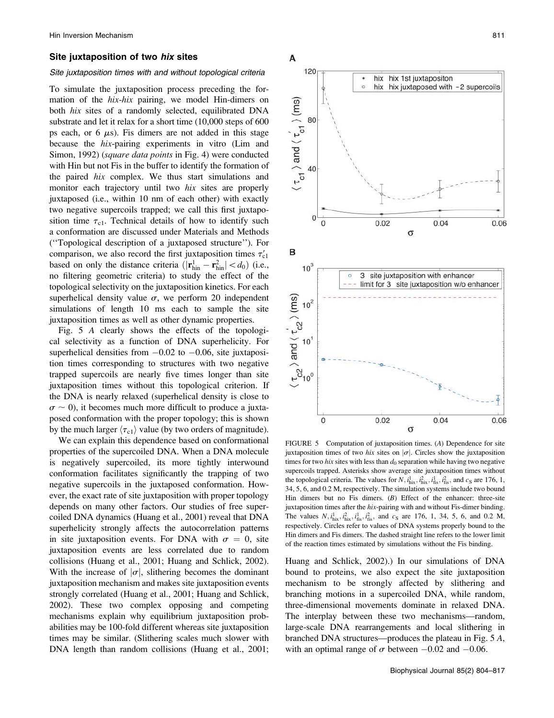#### Site juxtaposition of two hix sites

#### Site juxtaposition times with and without topological criteria

To simulate the juxtaposition process preceding the formation of the hix-hix pairing, we model Hin-dimers on both hix sites of a randomly selected, equilibrated DNA substrate and let it relax for a short time (10,000 steps of 600 ps each, or 6  $\mu$ s). Fis dimers are not added in this stage because the *hix*-pairing experiments in vitro (Lim and Simon, 1992) (square data points in Fig. 4) were conducted with Hin but not Fis in the buffer to identify the formation of the paired hix complex. We thus start simulations and monitor each trajectory until two hix sites are properly juxtaposed (i.e., within 10 nm of each other) with exactly two negative supercoils trapped; we call this first juxtaposition time  $\tau_{c1}$ . Technical details of how to identify such a conformation are discussed under Materials and Methods (''Topological description of a juxtaposed structure''). For comparison, we also record the first juxtaposition times  $\tau_{c1}$ based on only the distance criteria  $(|\mathbf{r}_{\text{hin}}^1 - \mathbf{r}_{\text{hin}}^2| < d_0)$  (i.e., no filtering geometric criteria) to study the effect of the topological selectivity on the juxtaposition kinetics. For each superhelical density value  $\sigma$ , we perform 20 independent simulations of length 10 ms each to sample the site juxtaposition times as well as other dynamic properties.

Fig. 5 A clearly shows the effects of the topological selectivity as a function of DNA superhelicity. For superhelical densities from  $-0.02$  to  $-0.06$ , site juxtaposition times corresponding to structures with two negative trapped supercoils are nearly five times longer than site juxtaposition times without this topological criterion. If the DNA is nearly relaxed (superhelical density is close to  $\sigma \sim 0$ ), it becomes much more difficult to produce a juxtaposed conformation with the proper topology; this is shown by the much larger  $\langle \tau_{c1} \rangle$  value (by two orders of magnitude).

We can explain this dependence based on conformational properties of the supercoiled DNA. When a DNA molecule is negatively supercoiled, its more tightly interwound conformation facilitates significantly the trapping of two negative supercoils in the juxtaposed conformation. However, the exact rate of site juxtaposition with proper topology depends on many other factors. Our studies of free supercoiled DNA dynamics (Huang et al., 2001) reveal that DNA superhelicity strongly affects the autocorrelation patterns in site juxtaposition events. For DNA with  $\sigma = 0$ , site juxtaposition events are less correlated due to random collisions (Huang et al., 2001; Huang and Schlick, 2002). With the increase of  $|\sigma|$ , slithering becomes the dominant juxtaposition mechanism and makes site juxtaposition events strongly correlated (Huang et al., 2001; Huang and Schlick, 2002). These two complex opposing and competing mechanisms explain why equilibrium juxtaposition probabilities may be 100-fold different whereas site juxtaposition times may be similar. (Slithering scales much slower with DNA length than random collisions (Huang et al., 2001;



FIGURE 5 Computation of juxtaposition times. (A) Dependence for site juxtaposition times of two hix sites on  $|\sigma|$ . Circles show the juxtaposition times for two hix sites with less than  $d_0$  separation while having two negative supercoils trapped. Asterisks show average site juxtaposition times without the topological criteria. The values for  $N$ ,  $i_{\text{hix}}^1$ ,  $i_{\text{fix}}^2$ ,  $i_{\text{fis}}^1$ ,  $i_{\text{fis}}^2$ , and  $c_s$  are 176, 1, 34, 5, 6, and 0.2 M, respectively. The simulation systems include two bound Hin dimers but no Fis dimers.  $(B)$  Effect of the enhancer: three-site juxtaposition times after the *hix*-pairing with and without Fis-dimer binding. The values  $N, i_{\text{hix}}^1, i_{\text{fix}}^2, i_{\text{fis}}^1, i_{\text{fis}}^2$ , and  $c_S$  are 176, 1, 34, 5, 6, and 0.2 M, respectively. Circles refer to values of DNA systems properly bound to the Hin dimers and Fis dimers. The dashed straight line refers to the lower limit of the reaction times estimated by simulations without the Fis binding.

Huang and Schlick, 2002).) In our simulations of DNA bound to proteins, we also expect the site juxtaposition mechanism to be strongly affected by slithering and branching motions in a supercoiled DNA, while random, three-dimensional movements dominate in relaxed DNA. The interplay between these two mechanisms—random, large-scale DNA rearrangements and local slithering in branched DNA structures—produces the plateau in Fig. 5 A, with an optimal range of  $\sigma$  between  $-0.02$  and  $-0.06$ .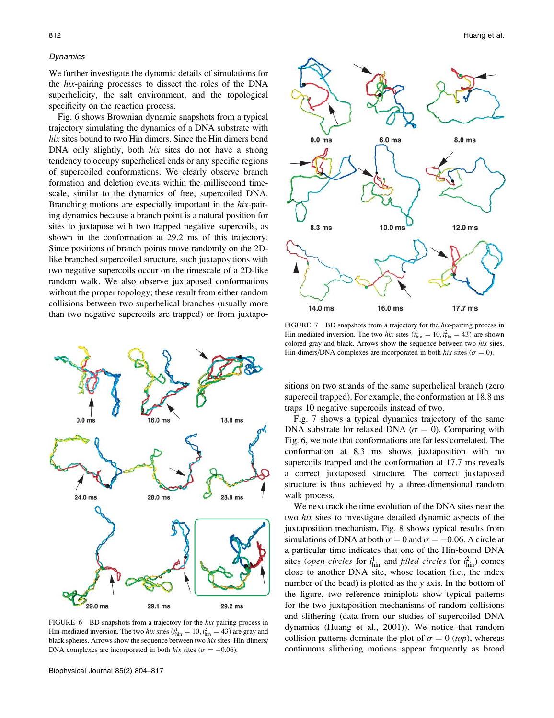#### Dynamics

We further investigate the dynamic details of simulations for the hix-pairing processes to dissect the roles of the DNA superhelicity, the salt environment, and the topological specificity on the reaction process.

Fig. 6 shows Brownian dynamic snapshots from a typical trajectory simulating the dynamics of a DNA substrate with hix sites bound to two Hin dimers. Since the Hin dimers bend DNA only slightly, both *hix* sites do not have a strong tendency to occupy superhelical ends or any specific regions of supercoiled conformations. We clearly observe branch formation and deletion events within the millisecond timescale, similar to the dynamics of free, supercoiled DNA. Branching motions are especially important in the *hix*-pairing dynamics because a branch point is a natural position for sites to juxtapose with two trapped negative supercoils, as shown in the conformation at 29.2 ms of this trajectory. Since positions of branch points move randomly on the 2Dlike branched supercoiled structure, such juxtapositions with two negative supercoils occur on the timescale of a 2D-like random walk. We also observe juxtaposed conformations without the proper topology; these result from either random collisions between two superhelical branches (usually more than two negative supercoils are trapped) or from juxtapo-



FIGURE 6 BD snapshots from a trajectory for the *hix*-pairing process in Hin-mediated inversion. The two *hix* sites  $(i<sub>hin</sub><sup>1</sup> = 10, i<sub>hin</sub><sup>2</sup> = 43)$  are gray and black spheres. Arrows show the sequence between two hix sites. Hin-dimers/ DNA complexes are incorporated in both hix sites ( $\sigma = -0.06$ ).



FIGURE 7 BD snapshots from a trajectory for the hix-pairing process in Hin-mediated inversion. The two hix sites  $(i<sub>hin</sub><sup>1</sup> = 10, i<sub>hin</sub><sup>2</sup> = 43)$  are shown colored gray and black. Arrows show the sequence between two hix sites. Hin-dimers/DNA complexes are incorporated in both hix sites ( $\sigma = 0$ ).

sitions on two strands of the same superhelical branch (zero supercoil trapped). For example, the conformation at 18.8 ms traps 10 negative supercoils instead of two.

Fig. 7 shows a typical dynamics trajectory of the same DNA substrate for relaxed DNA ( $\sigma = 0$ ). Comparing with Fig. 6, we note that conformations are far less correlated. The conformation at 8.3 ms shows juxtaposition with no supercoils trapped and the conformation at 17.7 ms reveals a correct juxtaposed structure. The correct juxtaposed structure is thus achieved by a three-dimensional random walk process.

We next track the time evolution of the DNA sites near the two hix sites to investigate detailed dynamic aspects of the juxtaposition mechanism. Fig. 8 shows typical results from simulations of DNA at both  $\sigma = 0$  and  $\sigma = -0.06$ . A circle at a particular time indicates that one of the Hin-bound DNA sites (*open circles* for  $i_{\text{hin}}^1$  and *filled circles* for  $i_{\text{hin}}^2$ ) comes close to another DNA site, whose location (i.e., the index number of the bead) is plotted as the y axis. In the bottom of the figure, two reference miniplots show typical patterns for the two juxtaposition mechanisms of random collisions and slithering (data from our studies of supercoiled DNA dynamics (Huang et al., 2001)). We notice that random collision patterns dominate the plot of  $\sigma = 0$  (top), whereas continuous slithering motions appear frequently as broad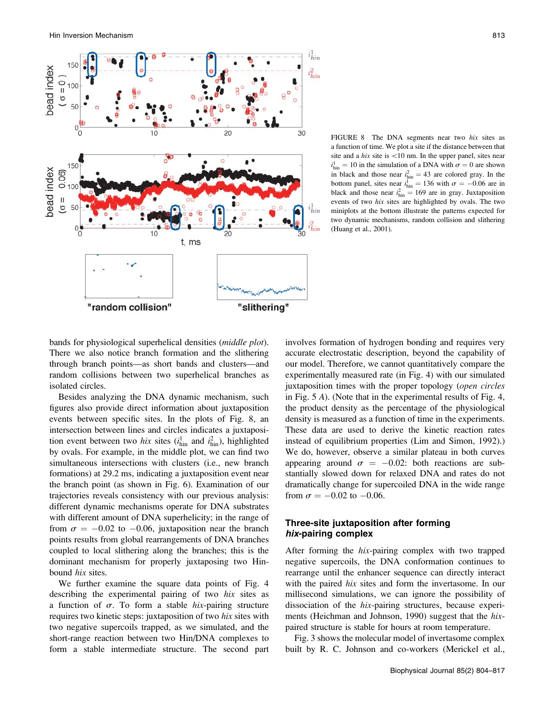

FIGURE 8 The DNA segments near two hix sites as a function of time. We plot a site if the distance between that site and a hix site is  $\langle 10 \text{ nm} \rangle$ . In the upper panel, sites near  $i_{\text{hin}}^1 = 10$  in the simulation of a DNA with  $\sigma = 0$  are shown in black and those near  $i_{\text{hin}}^2 = 43$  are colored gray. In the bottom panel, sites near  $i_{\text{hin}}^1 = 136$  with  $\sigma = -0.06$  are in black and those near  $i_{\text{hin}}^2 = 169$  are in gray. Juxtaposition events of two hix sites are highlighted by ovals. The two miniplots at the bottom illustrate the patterns expected for two dynamic mechanisms, random collision and slithering (Huang et al., 2001).

bands for physiological superhelical densities (middle plot). There we also notice branch formation and the slithering through branch points—as short bands and clusters—and random collisions between two superhelical branches as isolated circles.

Besides analyzing the DNA dynamic mechanism, such figures also provide direct information about juxtaposition events between specific sites. In the plots of Fig. 8, an intersection between lines and circles indicates a juxtaposition event between two *hix* sites  $(i<sub>hin</sub><sup>1</sup>$  and  $i<sub>hin</sub><sup>2</sup>$ ), highlighted by ovals. For example, in the middle plot, we can find two simultaneous intersections with clusters (i.e., new branch formations) at 29.2 ms, indicating a juxtaposition event near the branch point (as shown in Fig. 6). Examination of our trajectories reveals consistency with our previous analysis: different dynamic mechanisms operate for DNA substrates with different amount of DNA superhelicity; in the range of from  $\sigma = -0.02$  to  $-0.06$ , juxtaposition near the branch points results from global rearrangements of DNA branches coupled to local slithering along the branches; this is the dominant mechanism for properly juxtaposing two Hinbound hix sites.

We further examine the square data points of Fig. 4 describing the experimental pairing of two hix sites as a function of  $\sigma$ . To form a stable hix-pairing structure requires two kinetic steps: juxtaposition of two hix sites with two negative supercoils trapped, as we simulated, and the short-range reaction between two Hin/DNA complexes to form a stable intermediate structure. The second part

involves formation of hydrogen bonding and requires very accurate electrostatic description, beyond the capability of our model. Therefore, we cannot quantitatively compare the experimentally measured rate (in Fig. 4) with our simulated juxtaposition times with the proper topology (open circles in Fig. 5 A). (Note that in the experimental results of Fig. 4, the product density as the percentage of the physiological density is measured as a function of time in the experiments. These data are used to derive the kinetic reaction rates instead of equilibrium properties (Lim and Simon, 1992).) We do, however, observe a similar plateau in both curves appearing around  $\sigma = -0.02$ : both reactions are substantially slowed down for relaxed DNA and rates do not dramatically change for supercoiled DNA in the wide range from  $\sigma = -0.02$  to  $-0.06$ .

# Three-site juxtaposition after forming hix-pairing complex

After forming the hix-pairing complex with two trapped negative supercoils, the DNA conformation continues to rearrange until the enhancer sequence can directly interact with the paired hix sites and form the invertasome. In our millisecond simulations, we can ignore the possibility of dissociation of the *hix*-pairing structures, because experiments (Heichman and Johnson, 1990) suggest that the hixpaired structure is stable for hours at room temperature.

Fig. 3 shows the molecular model of invertasome complex built by R. C. Johnson and co-workers (Merickel et al.,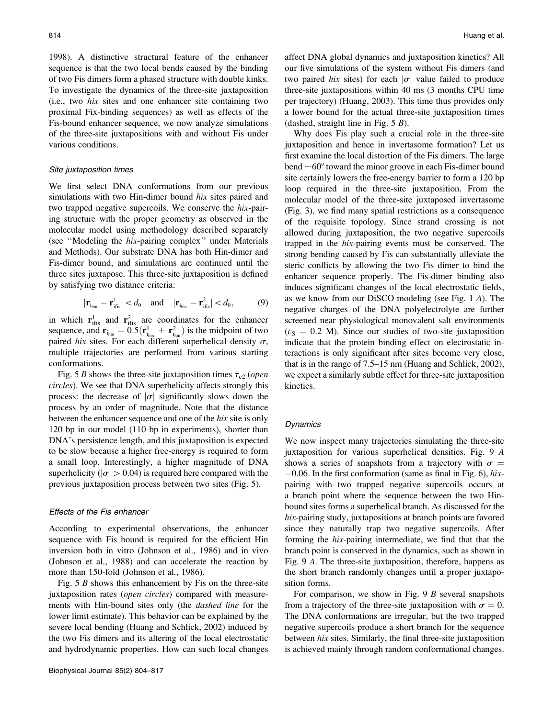1998). A distinctive structural feature of the enhancer sequence is that the two local bends caused by the binding of two Fis dimers form a phased structure with double kinks. To investigate the dynamics of the three-site juxtaposition (i.e., two hix sites and one enhancer site containing two proximal Fix-binding sequences) as well as effects of the Fis-bound enhancer sequence, we now analyze simulations of the three-site juxtapositions with and without Fis under various conditions.

# Site juxtaposition times

We first select DNA conformations from our previous simulations with two Hin-dimer bound hix sites paired and two trapped negative supercoils. We conserve the hix-pairing structure with the proper geometry as observed in the molecular model using methodology described separately (see ''Modeling the hix-pairing complex'' under Materials and Methods). Our substrate DNA has both Hin-dimer and Fis-dimer bound, and simulations are continued until the three sites juxtapose. This three-site juxtaposition is defined by satisfying two distance criteria:

$$
|\mathbf{r}_{i_{\text{thin}}} - \mathbf{r}_{i\text{fis}}^1| < d_0 \quad \text{and} \quad |\mathbf{r}_{i_{\text{thin}}} - \mathbf{r}_{i\text{fis}}^2| < d_0,\tag{9}
$$

in which  $\mathbf{r}_{\text{ifis}}^1$  and  $\mathbf{r}_{\text{ifis}}^2$  are coordinates for the enhancer sequence, and  $\mathbf{r}_{i_{\text{hin}}} = 0.5(\mathbf{r}_{i_{\text{hin}}}^1 + \mathbf{r}_{i_{\text{hin}}}^2)$  is the midpoint of two paired hix sites. For each different superhelical density  $\sigma$ , multiple trajectories are performed from various starting conformations.

Fig. 5 B shows the three-site juxtaposition times  $\tau_{c2}$  (open circles). We see that DNA superhelicity affects strongly this process: the decrease of  $|\sigma|$  significantly slows down the process by an order of magnitude. Note that the distance between the enhancer sequence and one of the hix site is only 120 bp in our model (110 bp in experiments), shorter than DNA's persistence length, and this juxtaposition is expected to be slow because a higher free-energy is required to form a small loop. Interestingly, a higher magnitude of DNA superhelicity ( $|\sigma| > 0.04$ ) is required here compared with the previous juxtaposition process between two sites (Fig. 5).

## Effects of the Fis enhancer

According to experimental observations, the enhancer sequence with Fis bound is required for the efficient Hin inversion both in vitro (Johnson et al., 1986) and in vivo (Johnson et al., 1988) and can accelerate the reaction by more than 150-fold (Johnson et al., 1986).

Fig.  $5 B$  shows this enhancement by Fis on the three-site juxtaposition rates (open circles) compared with measurements with Hin-bound sites only (the dashed line for the lower limit estimate). This behavior can be explained by the severe local bending (Huang and Schlick, 2002) induced by the two Fis dimers and its altering of the local electrostatic and hydrodynamic properties. How can such local changes

affect DNA global dynamics and juxtaposition kinetics? All our five simulations of the system without Fis dimers (and two paired hix sites) for each  $|\sigma|$  value failed to produce three-site juxtapositions within 40 ms (3 months CPU time per trajectory) (Huang, 2003). This time thus provides only a lower bound for the actual three-site juxtaposition times (dashed, straight line in Fig.  $5 B$ ).

Why does Fis play such a crucial role in the three-site juxtaposition and hence in invertasome formation? Let us first examine the local distortion of the Fis dimers. The large bend  $\sim 60^{\circ}$  toward the minor groove in each Fis-dimer bound site certainly lowers the free-energy barrier to form a 120 bp loop required in the three-site juxtaposition. From the molecular model of the three-site juxtaposed invertasome (Fig. 3), we find many spatial restrictions as a consequence of the requisite topology. Since strand crossing is not allowed during juxtaposition, the two negative supercoils trapped in the hix-pairing events must be conserved. The strong bending caused by Fis can substantially alleviate the steric conflicts by allowing the two Fis dimer to bind the enhancer sequence properly. The Fis-dimer binding also induces significant changes of the local electrostatic fields, as we know from our DiSCO modeling (see Fig. 1 A). The negative charges of the DNA polyelectrolyte are further screened near physiological monovalent salt environments  $(c<sub>S</sub> = 0.2 M)$ . Since our studies of two-site juxtaposition indicate that the protein binding effect on electrostatic interactions is only significant after sites become very close, that is in the range of 7.5–15 nm (Huang and Schlick, 2002), we expect a similarly subtle effect for three-site juxtaposition kinetics.

#### Dynamics

We now inspect many trajectories simulating the three-site juxtaposition for various superhelical densities. Fig. 9 A shows a series of snapshots from a trajectory with  $\sigma =$  $-0.06$ . In the first conformation (same as final in Fig. 6), hixpairing with two trapped negative supercoils occurs at a branch point where the sequence between the two Hinbound sites forms a superhelical branch. As discussed for the hix-pairing study, juxtapositions at branch points are favored since they naturally trap two negative supercoils. After forming the hix-pairing intermediate, we find that that the branch point is conserved in the dynamics, such as shown in Fig. 9 A. The three-site juxtaposition, therefore, happens as the short branch randomly changes until a proper juxtaposition forms.

For comparison, we show in Fig.  $9 \, B$  several snapshots from a trajectory of the three-site juxtaposition with  $\sigma = 0$ . The DNA conformations are irregular, but the two trapped negative supercoils produce a short branch for the sequence between hix sites. Similarly, the final three-site juxtaposition is achieved mainly through random conformational changes.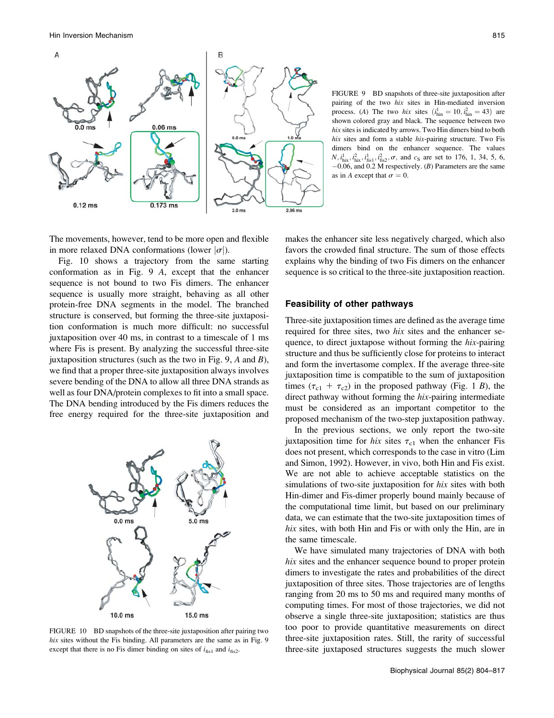

FIGURE 9 BD snapshots of three-site juxtaposition after pairing of the two hix sites in Hin-mediated inversion process. (A) The two hix sites  $(i_{\text{hin}}^1 = 10, i_{\text{hin}}^2 = 43)$  are shown colored gray and black. The sequence between two hix sites is indicated by arrows. Two Hin dimers bind to both hix sites and form a stable hix-pairing structure. Two Fis dimers bind on the enhancer sequence. The values  $N, i_{\text{hix}}^1, i_{\text{hix}}^2, i_{\text{fis1}}^1, i_{\text{fis2}}^2, \sigma$ , and  $c_S$  are set to 176, 1, 34, 5, 6,  $-0.06$ , and 0.2 M respectively. (B) Parameters are the same as in A except that  $\sigma = 0$ .

The movements, however, tend to be more open and flexible in more relaxed DNA conformations (lower  $|\sigma|$ ).

Fig. 10 shows a trajectory from the same starting conformation as in Fig. 9 A, except that the enhancer sequence is not bound to two Fis dimers. The enhancer sequence is usually more straight, behaving as all other protein-free DNA segments in the model. The branched structure is conserved, but forming the three-site juxtaposition conformation is much more difficult: no successful juxtaposition over 40 ms, in contrast to a timescale of 1 ms where Fis is present. By analyzing the successful three-site juxtaposition structures (such as the two in Fig. 9,  $A$  and  $B$ ), we find that a proper three-site juxtaposition always involves severe bending of the DNA to allow all three DNA strands as well as four DNA/protein complexes to fit into a small space. The DNA bending introduced by the Fis dimers reduces the free energy required for the three-site juxtaposition and



FIGURE 10 BD snapshots of the three-site juxtaposition after pairing two hix sites without the Fis binding. All parameters are the same as in Fig. 9 except that there is no Fis dimer binding on sites of  $i_{\text{fis1}}$  and  $i_{\text{fis2}}$ .

makes the enhancer site less negatively charged, which also favors the crowded final structure. The sum of those effects explains why the binding of two Fis dimers on the enhancer sequence is so critical to the three-site juxtaposition reaction.

# Feasibility of other pathways

Three-site juxtaposition times are defined as the average time required for three sites, two hix sites and the enhancer sequence, to direct juxtapose without forming the hix-pairing structure and thus be sufficiently close for proteins to interact and form the invertasome complex. If the average three-site juxtaposition time is compatible to the sum of juxtaposition times  $(\tau_{c1} + \tau_{c2})$  in the proposed pathway (Fig. 1 B), the direct pathway without forming the hix-pairing intermediate must be considered as an important competitor to the proposed mechanism of the two-step juxtaposition pathway.

In the previous sections, we only report the two-site juxtaposition time for hix sites  $\tau_{c1}$  when the enhancer Fis does not present, which corresponds to the case in vitro (Lim and Simon, 1992). However, in vivo, both Hin and Fis exist. We are not able to achieve acceptable statistics on the simulations of two-site juxtaposition for hix sites with both Hin-dimer and Fis-dimer properly bound mainly because of the computational time limit, but based on our preliminary data, we can estimate that the two-site juxtaposition times of hix sites, with both Hin and Fis or with only the Hin, are in the same timescale.

We have simulated many trajectories of DNA with both hix sites and the enhancer sequence bound to proper protein dimers to investigate the rates and probabilities of the direct juxtaposition of three sites. Those trajectories are of lengths ranging from 20 ms to 50 ms and required many months of computing times. For most of those trajectories, we did not observe a single three-site juxtaposition; statistics are thus too poor to provide quantitative measurements on direct three-site juxtaposition rates. Still, the rarity of successful three-site juxtaposed structures suggests the much slower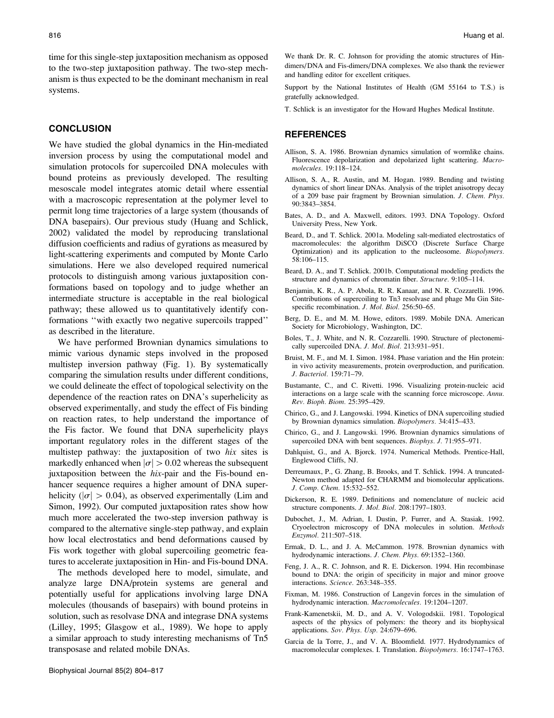time for this single-step juxtaposition mechanism as opposed to the two-step juxtaposition pathway. The two-step mechanism is thus expected to be the dominant mechanism in real systems.

# **CONCLUSION**

We have studied the global dynamics in the Hin-mediated inversion process by using the computational model and simulation protocols for supercoiled DNA molecules with bound proteins as previously developed. The resulting mesoscale model integrates atomic detail where essential with a macroscopic representation at the polymer level to permit long time trajectories of a large system (thousands of DNA basepairs). Our previous study (Huang and Schlick, 2002) validated the model by reproducing translational diffusion coefficients and radius of gyrations as measured by light-scattering experiments and computed by Monte Carlo simulations. Here we also developed required numerical protocols to distinguish among various juxtaposition conformations based on topology and to judge whether an intermediate structure is acceptable in the real biological pathway; these allowed us to quantitatively identify conformations ''with exactly two negative supercoils trapped'' as described in the literature.

We have performed Brownian dynamics simulations to mimic various dynamic steps involved in the proposed multistep inversion pathway (Fig. 1). By systematically comparing the simulation results under different conditions, we could delineate the effect of topological selectivity on the dependence of the reaction rates on DNA's superhelicity as observed experimentally, and study the effect of Fis binding on reaction rates, to help understand the importance of the Fis factor. We found that DNA superhelicity plays important regulatory roles in the different stages of the multistep pathway: the juxtaposition of two hix sites is markedly enhanced when  $|\sigma| > 0.02$  whereas the subsequent juxtaposition between the hix-pair and the Fis-bound enhancer sequence requires a higher amount of DNA superhelicity ( $|\sigma| > 0.04$ ), as observed experimentally (Lim and Simon, 1992). Our computed juxtaposition rates show how much more accelerated the two-step inversion pathway is compared to the alternative single-step pathway, and explain how local electrostatics and bend deformations caused by Fis work together with global supercoiling geometric features to accelerate juxtaposition in Hin- and Fis-bound DNA.

The methods developed here to model, simulate, and analyze large DNA/protein systems are general and potentially useful for applications involving large DNA molecules (thousands of basepairs) with bound proteins in solution, such as resolvase DNA and integrase DNA systems (Lilley, 1995; Glasgow et al., 1989). We hope to apply a similar approach to study interesting mechanisms of Tn5 transposase and related mobile DNAs.

We thank Dr. R. C. Johnson for providing the atomic structures of Hindimers/ DNA and Fis-dimers/ DNA complexes. We also thank the reviewer and handling editor for excellent critiques.

Support by the National Institutes of Health (GM 55164 to T.S.) is gratefully acknowledged.

T. Schlick is an investigator for the Howard Hughes Medical Institute.

#### **REFERENCES**

- Allison, S. A. 1986. Brownian dynamics simulation of wormlike chains. Fluorescence depolarization and depolarized light scattering. Macromolecules. 19:118–124.
- Allison, S. A., R. Austin, and M. Hogan. 1989. Bending and twisting dynamics of short linear DNAs. Analysis of the triplet anisotropy decay of a 209 base pair fragment by Brownian simulation. J. Chem. Phys. 90:3843–3854.
- Bates, A. D., and A. Maxwell, editors. 1993. DNA Topology. Oxford University Press, New York.
- Beard, D., and T. Schlick. 2001a. Modeling salt-mediated electrostatics of macromolecules: the algorithm DiSCO (Discrete Surface Charge Optimization) and its application to the nucleosome. Biopolymers. 58:106–115.
- Beard, D. A., and T. Schlick. 2001b. Computational modeling predicts the structure and dynamics of chromatin fiber. Structure. 9:105–114.
- Benjamin, K. R., A. P. Abola, R. R. Kanaar, and N. R. Cozzarelli. 1996. Contributions of supercoiling to Tn3 resolvase and phage Mu Gin Sitespecific recombination. *J. Mol. Biol.* 256:50–65.
- Berg, D. E., and M. M. Howe, editors. 1989. Mobile DNA. American Society for Microbiology, Washington, DC.
- Boles, T., J. White, and N. R. Cozzarelli. 1990. Structure of plectonemically supercoiled DNA. J. Mol. Biol. 213:931–951.
- Bruist, M. F., and M. I. Simon. 1984. Phase variation and the Hin protein: in vivo activity measurements, protein overproduction, and purification. J. Bacteriol. 159:71–79.
- Bustamante, C., and C. Rivetti. 1996. Visualizing protein-nucleic acid interactions on a large scale with the scanning force microscope. Annu. Rev. Bioph. Biom. 25:395–429.
- Chirico, G., and J. Langowski. 1994. Kinetics of DNA supercoiling studied by Brownian dynamics simulation. Biopolymers. 34:415–433.
- Chirico, G., and J. Langowski. 1996. Brownian dynamics simulations of supercoiled DNA with bent sequences. Biophys. J. 71:955–971.
- Dahlquist, G., and A. Bjorck. 1974. Numerical Methods. Prentice-Hall, Englewood Cliffs, NJ.
- Derreumaux, P., G. Zhang, B. Brooks, and T. Schlick. 1994. A truncated-Newton method adapted for CHARMM and biomolecular applications. J. Comp. Chem. 15:532–552.
- Dickerson, R. E. 1989. Definitions and nomenclature of nucleic acid structure components. J. Mol. Biol. 208:1797–1803.
- Dubochet, J., M. Adrian, I. Dustin, P. Furrer, and A. Stasiak. 1992. Cryoelectron microscopy of DNA molecules in solution. Methods Enzymol. 211:507–518.
- Ermak, D. L., and J. A. McCammon. 1978. Brownian dynamics with hydrodynamic interactions. J. Chem. Phys. 69:1352–1360.
- Feng, J. A., R. C. Johnson, and R. E. Dickerson. 1994. Hin recombinase bound to DNA: the origin of specificity in major and minor groove interactions. Science. 263:348–355.
- Fixman, M. 1986. Construction of Langevin forces in the simulation of hydrodynamic interaction. Macromolecules. 19:1204–1207.
- Frank-Kamenetskii, M. D., and A. V. Vologodskii. 1981. Topological aspects of the physics of polymers: the theory and its biophysical applications. Sov. Phys. Usp. 24:679–696.
- Garcia de la Torre, J., and V. A. Bloomfield. 1977. Hydrodynamics of macromolecular complexes. I. Translation. Biopolymers. 16:1747–1763.